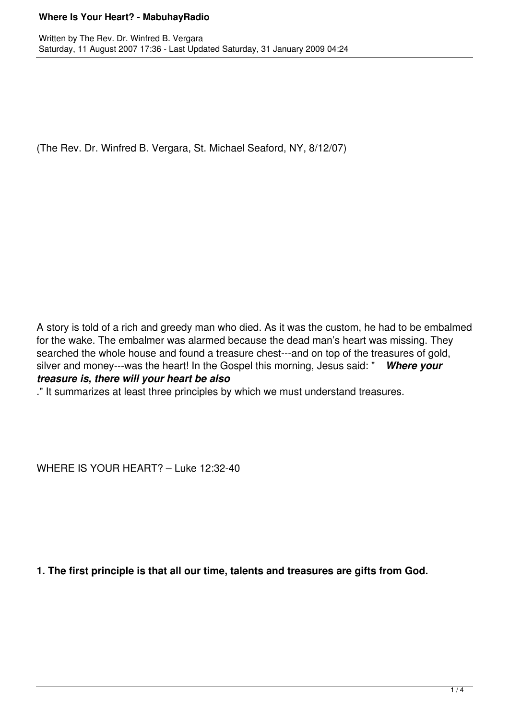### **Where Is Your Heart? - MabuhayRadio**

(The Rev. Dr. Winfred B. Vergara, St. Michael Seaford, NY, 8/12/07)

A story is told of a rich and greedy man who died. As it was the custom, he had to be embalmed for the wake. The embalmer was alarmed because the dead man's heart was missing. They searched the whole house and found a treasure chest---and on top of the treasures of gold, silver and money---was the heart! In the Gospel this morning, Jesus said: " *Where your treasure is, there will your heart be also*

." It summarizes at least three principles by which we must understand treasures.

WHERE IS YOUR HEART? – Luke 12:32-40

**1. The first principle is that all our time, talents and treasures are gifts from God.**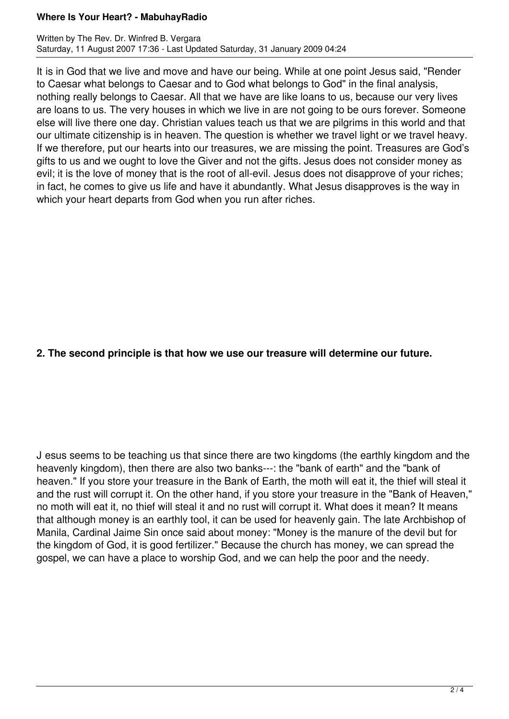### **Where Is Your Heart? - MabuhayRadio**

It is in God that we live and move and have our being. While at one point Jesus said, "Render to Caesar what belongs to Caesar and to God what belongs to God" in the final analysis, nothing really belongs to Caesar. All that we have are like loans to us, because our very lives are loans to us. The very houses in which we live in are not going to be ours forever. Someone else will live there one day. Christian values teach us that we are pilgrims in this world and that our ultimate citizenship is in heaven. The question is whether we travel light or we travel heavy. If we therefore, put our hearts into our treasures, we are missing the point. Treasures are God's gifts to us and we ought to love the Giver and not the gifts. Jesus does not consider money as evil; it is the love of money that is the root of all-evil. Jesus does not disapprove of your riches; in fact, he comes to give us life and have it abundantly. What Jesus disapproves is the way in which your heart departs from God when you run after riches.

# **2. The second principle is that how we use our treasure will determine our future.**

J esus seems to be teaching us that since there are two kingdoms (the earthly kingdom and the heavenly kingdom), then there are also two banks---: the "bank of earth" and the "bank of heaven." If you store your treasure in the Bank of Earth, the moth will eat it, the thief will steal it and the rust will corrupt it. On the other hand, if you store your treasure in the "Bank of Heaven," no moth will eat it, no thief will steal it and no rust will corrupt it. What does it mean? It means that although money is an earthly tool, it can be used for heavenly gain. The late Archbishop of Manila, Cardinal Jaime Sin once said about money: "Money is the manure of the devil but for the kingdom of God, it is good fertilizer." Because the church has money, we can spread the gospel, we can have a place to worship God, and we can help the poor and the needy.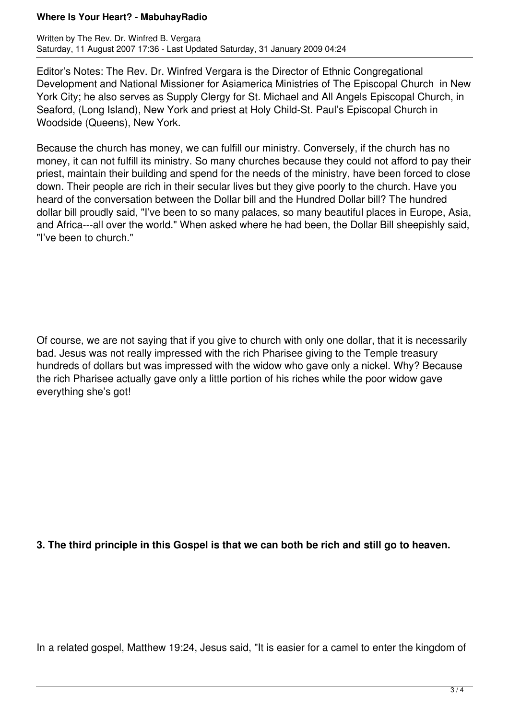### **Where Is Your Heart? - MabuhayRadio**

Editor's Notes: The Rev. Dr. Winfred Vergara is the Director of Ethnic Congregational Development and National Missioner for Asiamerica Ministries of The Episcopal Church in New York City; he also serves as Supply Clergy for St. Michael and All Angels Episcopal Church, in Seaford, (Long Island), New York and priest at Holy Child-St. Paul's Episcopal Church in Woodside (Queens), New York.

Because the church has money, we can fulfill our ministry. Conversely, if the church has no money, it can not fulfill its ministry. So many churches because they could not afford to pay their priest, maintain their building and spend for the needs of the ministry, have been forced to close down. Their people are rich in their secular lives but they give poorly to the church. Have you heard of the conversation between the Dollar bill and the Hundred Dollar bill? The hundred dollar bill proudly said, "I've been to so many palaces, so many beautiful places in Europe, Asia, and Africa---all over the world." When asked where he had been, the Dollar Bill sheepishly said, "I've been to church."

Of course, we are not saying that if you give to church with only one dollar, that it is necessarily bad. Jesus was not really impressed with the rich Pharisee giving to the Temple treasury hundreds of dollars but was impressed with the widow who gave only a nickel. Why? Because the rich Pharisee actually gave only a little portion of his riches while the poor widow gave everything she's got!

## **3. The third principle in this Gospel is that we can both be rich and still go to heaven.**

In a related gospel, Matthew 19:24, Jesus said, "It is easier for a camel to enter the kingdom of